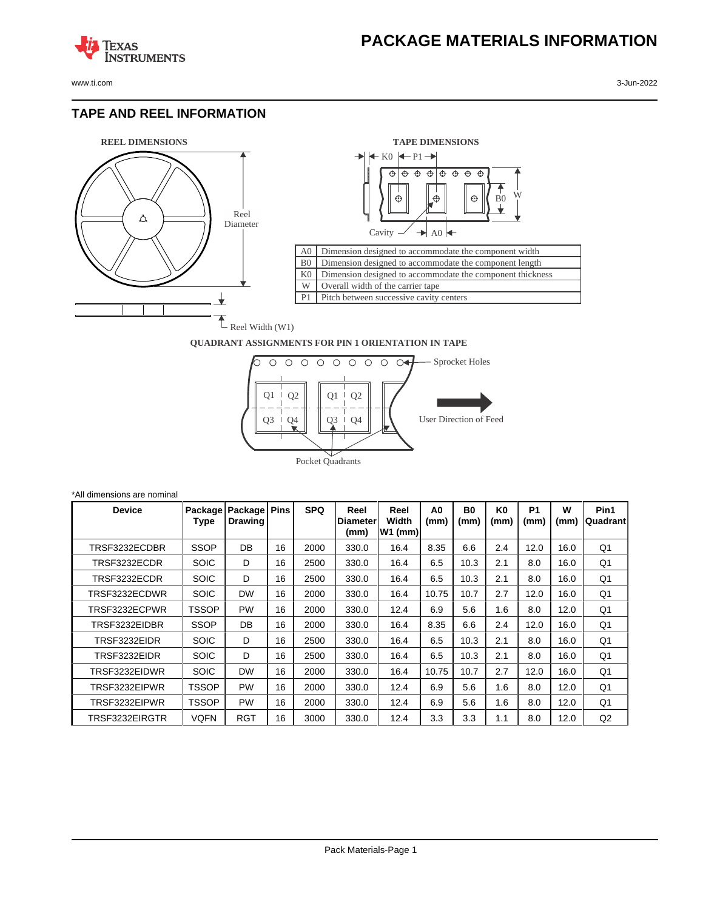www.ti.com 3-Jun-2022

**TEXAS** 

#### **TAPE AND REEL INFORMATION**

**ISTRUMENTS** 





#### **QUADRANT ASSIGNMENTS FOR PIN 1 ORIENTATION IN TAPE**



| *All dimensions are nominal |                 |                           |             |            |                                  |                            |                        |                   |                        |                   |           |                   |
|-----------------------------|-----------------|---------------------------|-------------|------------|----------------------------------|----------------------------|------------------------|-------------------|------------------------|-------------------|-----------|-------------------|
| <b>Device</b>               | Package<br>Type | Package<br><b>Drawing</b> | <b>Pins</b> | <b>SPQ</b> | Reel<br><b>IDiameter</b><br>(mm) | Reel<br>Width<br>$W1$ (mm) | A <sub>0</sub><br>(mm) | <b>B0</b><br>(mm) | K <sub>0</sub><br>(mm) | <b>P1</b><br>(mm) | W<br>(mm) | Pin1<br> Quadrant |
| TRSF3232ECDBR               | <b>SSOP</b>     | DB                        | 16          | 2000       | 330.0                            | 16.4                       | 8.35                   | 6.6               | 2.4                    | 12.0              | 16.0      | Q <sub>1</sub>    |
| TRSF3232ECDR                | <b>SOIC</b>     | D                         | 16          | 2500       | 330.0                            | 16.4                       | 6.5                    | 10.3              | 2.1                    | 8.0               | 16.0      | Q <sub>1</sub>    |
| TRSF3232ECDR                | <b>SOIC</b>     | D                         | 16          | 2500       | 330.0                            | 16.4                       | 6.5                    | 10.3              | 2.1                    | 8.0               | 16.0      | Q <sub>1</sub>    |
| TRSF3232ECDWR               | <b>SOIC</b>     | <b>DW</b>                 | 16          | 2000       | 330.0                            | 16.4                       | 10.75                  | 10.7              | 2.7                    | 12.0              | 16.0      | Q <sub>1</sub>    |
| TRSF3232ECPWR               | TSSOP           | <b>PW</b>                 | 16          | 2000       | 330.0                            | 12.4                       | 6.9                    | 5.6               | 1.6                    | 8.0               | 12.0      | Q1                |
| TRSF3232EIDBR               | <b>SSOP</b>     | DB                        | 16          | 2000       | 330.0                            | 16.4                       | 8.35                   | 6.6               | 2.4                    | 12.0              | 16.0      | Q <sub>1</sub>    |
| TRSF3232EIDR                | <b>SOIC</b>     | D                         | 16          | 2500       | 330.0                            | 16.4                       | 6.5                    | 10.3              | 2.1                    | 8.0               | 16.0      | Q <sub>1</sub>    |
| TRSF3232EIDR                | <b>SOIC</b>     | D                         | 16          | 2500       | 330.0                            | 16.4                       | 6.5                    | 10.3              | 2.1                    | 8.0               | 16.0      | Q <sub>1</sub>    |
| TRSF3232EIDWR               | <b>SOIC</b>     | <b>DW</b>                 | 16          | 2000       | 330.0                            | 16.4                       | 10.75                  | 10.7              | 2.7                    | 12.0              | 16.0      | Q1                |
| TRSF3232EIPWR               | <b>TSSOP</b>    | <b>PW</b>                 | 16          | 2000       | 330.0                            | 12.4                       | 6.9                    | 5.6               | 1.6                    | 8.0               | 12.0      | Q <sub>1</sub>    |
| TRSF3232EIPWR               | <b>TSSOP</b>    | <b>PW</b>                 | 16          | 2000       | 330.0                            | 12.4                       | 6.9                    | 5.6               | 1.6                    | 8.0               | 12.0      | Q <sub>1</sub>    |
| TRSF3232EIRGTR              | VQFN            | <b>RGT</b>                | 16          | 3000       | 330.0                            | 12.4                       | 3.3                    | 3.3               | 1.1                    | 8.0               | 12.0      | Q2                |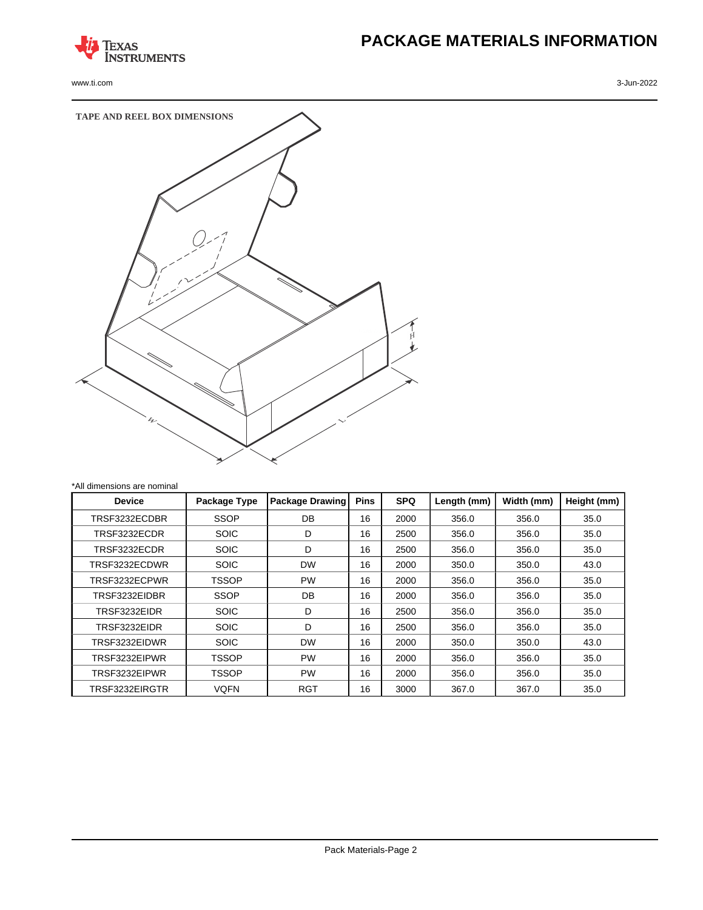

www.ti.com 3-Jun-2022

# **PACKAGE MATERIALS INFORMATION**



| All Gillerisions are normial |              |                        |             |            |             |            |             |
|------------------------------|--------------|------------------------|-------------|------------|-------------|------------|-------------|
| <b>Device</b>                | Package Type | <b>Package Drawing</b> | <b>Pins</b> | <b>SPQ</b> | Length (mm) | Width (mm) | Height (mm) |
| TRSF3232ECDBR                | <b>SSOP</b>  | DB                     | 16          | 2000       | 356.0       | 356.0      | 35.0        |
| TRSF3232ECDR                 | <b>SOIC</b>  | D                      | 16          | 2500       | 356.0       | 356.0      | 35.0        |
| TRSF3232ECDR                 | <b>SOIC</b>  | D                      | 16          | 2500       | 356.0       | 356.0      | 35.0        |
| TRSF3232ECDWR                | <b>SOIC</b>  | <b>DW</b>              | 16          | 2000       | 350.0       | 350.0      | 43.0        |
| TRSF3232ECPWR                | <b>TSSOP</b> | <b>PW</b>              | 16          | 2000       | 356.0       | 356.0      | 35.0        |
| TRSF3232EIDBR                | <b>SSOP</b>  | <b>DB</b>              | 16          | 2000       | 356.0       | 356.0      | 35.0        |
| TRSF3232EIDR                 | <b>SOIC</b>  | D                      | 16          | 2500       | 356.0       | 356.0      | 35.0        |
| TRSF3232EIDR                 | <b>SOIC</b>  | D                      | 16          | 2500       | 356.0       | 356.0      | 35.0        |
| TRSF3232EIDWR                | <b>SOIC</b>  | <b>DW</b>              | 16          | 2000       | 350.0       | 350.0      | 43.0        |
| TRSF3232EIPWR                | <b>TSSOP</b> | <b>PW</b>              | 16          | 2000       | 356.0       | 356.0      | 35.0        |
| TRSF3232EIPWR                | <b>TSSOP</b> | <b>PW</b>              | 16          | 2000       | 356.0       | 356.0      | 35.0        |
| TRSF3232EIRGTR               | <b>VQFN</b>  | <b>RGT</b>             | 16          | 3000       | 367.0       | 367.0      | 35.0        |